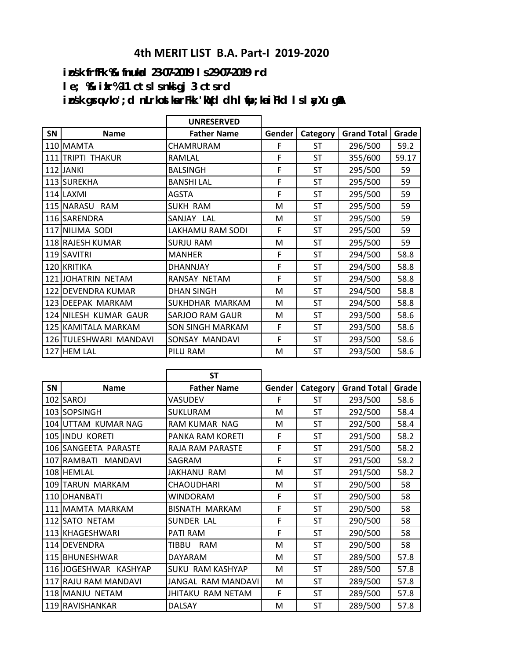## **4th MERIT LIST B.A. Part-I 2019-2020**

**izos'k frfFk %& fnukad 23-07-2019 ls 29-07-2019 rd le; %& izkr% 11 cts ls nksigj 3 cts rd** ips'k grq vko';d nLrkostka rFkk 'kqYd dh I ifp;ka i Fkd I s I ayXu g\$A

|           |                        | <b>UNRESERVED</b>       |        |           |                    |       |
|-----------|------------------------|-------------------------|--------|-----------|--------------------|-------|
| <b>SN</b> | <b>Name</b>            | <b>Father Name</b>      | Gender | Category  | <b>Grand Total</b> | Grade |
|           | 110 MAMTA              | CHAMRURAM               | F      | ST        | 296/500            | 59.2  |
| 111       | <b>TRIPTI THAKUR</b>   | RAMLAL                  | F      | <b>ST</b> | 355/600            | 59.17 |
|           | 112 JANKI              | <b>BALSINGH</b>         | F      | <b>ST</b> | 295/500            | 59    |
|           | 113 SUREKHA            | <b>BANSHI LAL</b>       | F      | ST        | 295/500            | 59    |
|           | 114 LAXMI              | <b>AGSTA</b>            | F      | <b>ST</b> | 295/500            | 59    |
|           | 115 NARASU RAM         | <b>SUKH RAM</b>         | М      | <b>ST</b> | 295/500            | 59    |
|           | 116 SARENDRA           | SANJAY LAL              | М      | ST        | 295/500            | 59    |
|           | 117 NILIMA SODI        | LAKHAMU RAM SODI        | F      | ST        | 295/500            | 59    |
|           | 118 RAJESH KUMAR       | <b>SURJU RAM</b>        | M      | <b>ST</b> | 295/500            | 59    |
|           | 119 SAVITRI            | <b>MANHER</b>           | F      | ST        | 294/500            | 58.8  |
|           | 120 KRITIKA            | DHANNJAY                | F      | ST        | 294/500            | 58.8  |
|           | 121 JOHATRIN NETAM     | RANSAY NETAM            | F      | <b>ST</b> | 294/500            | 58.8  |
|           | 122 DEVENDRA KUMAR     | <b>DHAN SINGH</b>       | M      | <b>ST</b> | 294/500            | 58.8  |
|           | 123 DEEPAK MARKAM      | SUKHDHAR MARKAM         | M      | <b>ST</b> | 294/500            | 58.8  |
|           | 124 NILESH KUMAR GAUR  | <b>SARJOO RAM GAUR</b>  | М      | <b>ST</b> | 293/500            | 58.6  |
|           | 125 KAMITALA MARKAM    | <b>SON SINGH MARKAM</b> | F      | ST        | 293/500            | 58.6  |
|           | 126 TULESHWARI MANDAVI | SONSAY MANDAVI          | F      | <b>ST</b> | 293/500            | 58.6  |
|           | 127 HEM LAL            | PILU RAM                | M      | <b>ST</b> | 293/500            | 58.6  |

|           |                       | <b>ST</b>                  |        |           |                    |       |
|-----------|-----------------------|----------------------------|--------|-----------|--------------------|-------|
| <b>SN</b> | <b>Name</b>           | <b>Father Name</b>         | Gender | Category  | <b>Grand Total</b> | Grade |
| 102       | SAROJ                 | VASUDEV                    | F      | ST        | 293/500            | 58.6  |
|           | 103 SOPSINGH          | SUKLURAM                   | м      | <b>ST</b> | 292/500            | 58.4  |
| 104       | UTTAM KUMAR NAG       | RAM KUMAR NAG              | м      | <b>ST</b> | 292/500            | 58.4  |
|           | 105 IINDU KORETI      | PANKA RAM KORETI           | F      | ST        | 291/500            | 58.2  |
|           | 106 SANGEETA PARASTE  | <b>RAJA RAM PARASTE</b>    | F      | ST        | 291/500            | 58.2  |
| 107       | RAMBATI MANDAVI       | SAGRAM                     | F      | ST        | 291/500            | 58.2  |
|           | 108 HEMLAL            | JAKHANU RAM                | м      | ST        | 291/500            | 58.2  |
|           | 109 TARUN MARKAM      | <b>CHAOUDHARI</b>          | м      | ST        | 290/500            | 58    |
|           | 110 DHANBATI          | WINDORAM                   | F      | <b>ST</b> | 290/500            | 58    |
| 111       | MAMTA MARKAM          | <b>BISNATH MARKAM</b>      | F      | <b>ST</b> | 290/500            | 58    |
| 112       | <b>SATO NETAM</b>     | SUNDER LAL                 | F      | <b>ST</b> | 290/500            | 58    |
|           | 113 KHAGESHWARI       | PATI RAM                   | F      | ST        | 290/500            | 58    |
|           | 114 DEVENDRA          | <b>RAM</b><br><b>TIBBU</b> | M      | ST        | 290/500            | 58    |
|           | 115 BHUNESHWAR        | <b>DAYARAM</b>             | м      | ST        | 289/500            | 57.8  |
|           | 116 JOGESHWAR KASHYAP | <b>SUKU RAM KASHYAP</b>    | м      | ST        | 289/500            | 57.8  |
|           | 117 RAJU RAM MANDAVI  | JANGAL RAM MANDAVI         | М      | ST        | 289/500            | 57.8  |
|           | 118 MANJU NETAM       | JHITAKU RAM NETAM          | F      | ST        | 289/500            | 57.8  |
|           | 119 RAVISHANKAR       | <b>DALSAY</b>              | M      | <b>ST</b> | 289/500            | 57.8  |